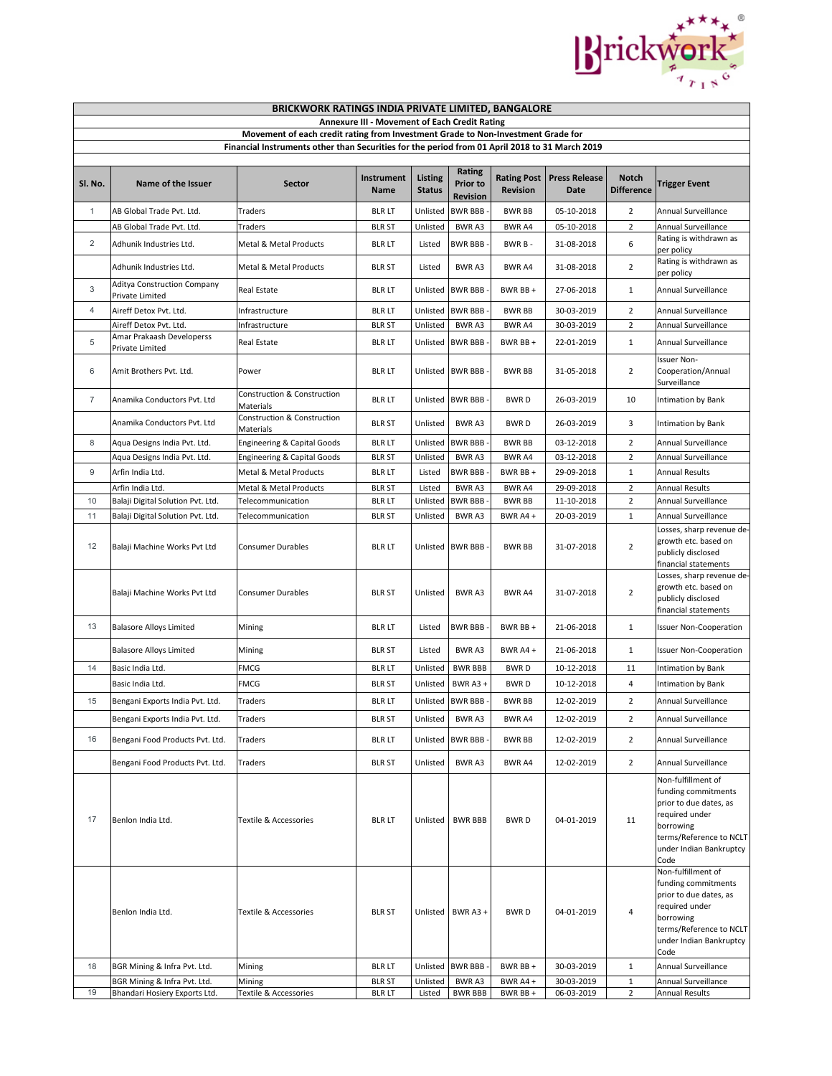

| <b>BRICKWORK RATINGS INDIA PRIVATE LIMITED, BANGALORE</b>                                                                                                                          |                                                     |                                          |                    |                                 |                                       |                                       |                              |                                   |                                                                                                                                                                  |  |
|------------------------------------------------------------------------------------------------------------------------------------------------------------------------------------|-----------------------------------------------------|------------------------------------------|--------------------|---------------------------------|---------------------------------------|---------------------------------------|------------------------------|-----------------------------------|------------------------------------------------------------------------------------------------------------------------------------------------------------------|--|
| <b>Annexure III - Movement of Each Credit Rating</b>                                                                                                                               |                                                     |                                          |                    |                                 |                                       |                                       |                              |                                   |                                                                                                                                                                  |  |
| Movement of each credit rating from Investment Grade to Non-Investment Grade for<br>Financial Instruments other than Securities for the period from 01 April 2018 to 31 March 2019 |                                                     |                                          |                    |                                 |                                       |                                       |                              |                                   |                                                                                                                                                                  |  |
|                                                                                                                                                                                    |                                                     |                                          |                    |                                 |                                       |                                       |                              |                                   |                                                                                                                                                                  |  |
| Sl. No.                                                                                                                                                                            | Name of the Issuer                                  | Sector                                   | Instrument<br>Name | <b>Listing</b><br><b>Status</b> | Rating<br>Prior to<br><b>Revision</b> | <b>Rating Post</b><br><b>Revision</b> | <b>Press Release</b><br>Date | <b>Notch</b><br><b>Difference</b> | <b>Trigger Event</b>                                                                                                                                             |  |
| $\mathbf{1}$                                                                                                                                                                       | AB Global Trade Pvt. Ltd.                           | Traders                                  | <b>BLR LT</b>      | Unlisted                        | <b>BWR BBB</b>                        | <b>BWR BB</b>                         | 05-10-2018                   | $\overline{2}$                    | Annual Surveillance                                                                                                                                              |  |
|                                                                                                                                                                                    | AB Global Trade Pvt. Ltd.                           | Traders                                  | <b>BLR ST</b>      | Unlisted                        | BWR A3                                | BWR A4                                | 05-10-2018                   | $\overline{2}$                    | Annual Surveillance                                                                                                                                              |  |
| 2                                                                                                                                                                                  | Adhunik Industries Ltd.                             | Metal & Metal Products                   | <b>BLR LT</b>      | Listed                          | <b>BWR BBB</b>                        | BWR B-                                | 31-08-2018                   | 6                                 | Rating is withdrawn as<br>per policy                                                                                                                             |  |
|                                                                                                                                                                                    | Adhunik Industries Ltd.                             | Metal & Metal Products                   | <b>BLR ST</b>      | Listed                          | BWR A3                                | <b>BWR A4</b>                         | 31-08-2018                   | $\overline{2}$                    | Rating is withdrawn as<br>per policy                                                                                                                             |  |
| 3                                                                                                                                                                                  | Aditya Construction Company<br>Private Limited      | <b>Real Estate</b>                       | <b>BLR LT</b>      | Unlisted                        | <b>BWR BBB</b>                        | BWR BB+                               | 27-06-2018                   | $\mathbf{1}$                      | Annual Surveillance                                                                                                                                              |  |
| 4                                                                                                                                                                                  | Aireff Detox Pvt. Ltd.                              | Infrastructure                           | <b>BLR LT</b>      | Unlisted                        | <b>BWR BBB</b>                        | <b>BWR BB</b>                         | 30-03-2019                   | $\overline{2}$                    | Annual Surveillance                                                                                                                                              |  |
|                                                                                                                                                                                    | Aireff Detox Pvt. Ltd.<br>Amar Prakaash Developerss | Infrastructure                           | <b>BLR ST</b>      | Unlisted                        | BWR A3                                | <b>BWRA4</b>                          | 30-03-2019                   | $\overline{2}$                    | Annual Surveillance                                                                                                                                              |  |
| 5                                                                                                                                                                                  | Private Limited                                     | <b>Real Estate</b>                       | blr lt             | Unlisted                        | <b>BWR BBB</b>                        | BWR BB+                               | 22-01-2019                   | $\mathbf{1}$                      | Annual Surveillance                                                                                                                                              |  |
| 6                                                                                                                                                                                  | Amit Brothers Pvt. Ltd.                             | Power                                    | <b>BLR LT</b>      |                                 | Unlisted BWR BBB                      | <b>BWR BB</b>                         | 31-05-2018                   | $\overline{2}$                    | <b>Issuer Non-</b><br>Cooperation/Annual<br>Surveillance                                                                                                         |  |
| 7                                                                                                                                                                                  | Anamika Conductors Pvt. Ltd                         | Construction & Construction<br>Materials | <b>BLR LT</b>      | Unlisted                        | <b>BWR BBB</b>                        | <b>BWRD</b>                           | 26-03-2019                   | 10                                | Intimation by Bank                                                                                                                                               |  |
|                                                                                                                                                                                    | Anamika Conductors Pvt. Ltd                         | Construction & Construction<br>Materials | <b>BLR ST</b>      | Unlisted                        | BWR A3                                | <b>BWRD</b>                           | 26-03-2019                   | 3                                 | Intimation by Bank                                                                                                                                               |  |
| 8                                                                                                                                                                                  | Aqua Designs India Pvt. Ltd.                        | Engineering & Capital Goods              | <b>BLR LT</b>      | Unlisted                        | <b>BWR BBB</b>                        | <b>BWR BB</b>                         | 03-12-2018                   | $\overline{2}$                    | Annual Surveillance                                                                                                                                              |  |
|                                                                                                                                                                                    | Aqua Designs India Pvt. Ltd.                        | <b>Engineering &amp; Capital Goods</b>   | <b>BLR ST</b>      | Unlisted                        | BWR A3                                | BWR A4                                | 03-12-2018                   | 2                                 | Annual Surveillance                                                                                                                                              |  |
| 9                                                                                                                                                                                  | Arfin India Ltd.                                    | Metal & Metal Products                   | <b>BLR LT</b>      | Listed                          | <b>BWR BBB</b>                        | BWR BB+                               | 29-09-2018                   | $\mathbf{1}$                      | <b>Annual Results</b>                                                                                                                                            |  |
|                                                                                                                                                                                    | Arfin India Ltd.                                    | Metal & Metal Products                   | <b>BLR ST</b>      | Listed                          | BWR A3                                | BWR A4                                | 29-09-2018                   | $\overline{2}$                    | <b>Annual Results</b>                                                                                                                                            |  |
| 10                                                                                                                                                                                 | Balaji Digital Solution Pvt. Ltd.                   | Telecommunication                        | <b>BLR LT</b>      | Unlisted                        | <b>BWR BBB</b>                        | <b>BWR BB</b>                         | 11-10-2018                   | $\overline{2}$                    | Annual Surveillance                                                                                                                                              |  |
| 11                                                                                                                                                                                 | Balaji Digital Solution Pvt. Ltd.                   | Telecommunication                        | <b>BLR ST</b>      | Unlisted                        | BWR A3                                | BWR A4+                               | 20-03-2019                   | $\mathbf{1}$                      | Annual Surveillance                                                                                                                                              |  |
| 12                                                                                                                                                                                 | Balaji Machine Works Pvt Ltd                        | <b>Consumer Durables</b>                 | <b>BLR LT</b>      |                                 | Unlisted BWR BBB                      | <b>BWR BB</b>                         | 31-07-2018                   | $\overline{2}$                    | Losses, sharp revenue de-<br>growth etc. based on<br>publicly disclosed<br>financial statements                                                                  |  |
|                                                                                                                                                                                    | Balaji Machine Works Pvt Ltd                        | <b>Consumer Durables</b>                 | <b>BLR ST</b>      | Unlisted                        | BWR A3                                | <b>BWR A4</b>                         | 31-07-2018                   | $\overline{2}$                    | Losses, sharp revenue de-<br>growth etc. based on<br>publicly disclosed<br>financial statements                                                                  |  |
| 13                                                                                                                                                                                 | <b>Balasore Alloys Limited</b>                      | Mining                                   | <b>BLR LT</b>      | Listed                          | <b>BWR BBB</b>                        | BWR BB +                              | 21-06-2018                   | $\mathbf{1}$                      | <b>Issuer Non-Cooperation</b>                                                                                                                                    |  |
|                                                                                                                                                                                    | <b>Balasore Alloys Limited</b>                      | Mining                                   | <b>BLR ST</b>      | Listed                          | BWR A3                                | BWR A4+                               | 21-06-2018                   | $\mathbf{1}$                      | <b>Issuer Non-Cooperation</b>                                                                                                                                    |  |
| 14                                                                                                                                                                                 | Basic India Ltd.                                    | <b>FMCG</b>                              | <b>BLR LT</b>      | Unlisted                        | <b>BWR BBB</b>                        | <b>BWRD</b>                           | 10-12-2018                   | 11                                | Intimation by Bank                                                                                                                                               |  |
|                                                                                                                                                                                    | Basic India Ltd.                                    | <b>FMCG</b>                              | <b>BLR ST</b>      | Unlisted                        | BWR A3+                               | <b>BWRD</b>                           | 10-12-2018                   | 4                                 | Intimation by Bank                                                                                                                                               |  |
| 15                                                                                                                                                                                 | Bengani Exports India Pvt. Ltd.                     | Traders                                  | <b>BLR LT</b>      | Unlisted                        | <b>BWR BBB</b>                        | <b>BWR BB</b>                         | 12-02-2019                   | $\overline{2}$                    | Annual Surveillance                                                                                                                                              |  |
|                                                                                                                                                                                    | Bengani Exports India Pvt. Ltd.                     | Traders                                  | <b>BLR ST</b>      | Unlisted                        | BWR A3                                | BWR A4                                | 12-02-2019                   | $\overline{2}$                    | Annual Surveillance                                                                                                                                              |  |
| 16                                                                                                                                                                                 | Bengani Food Products Pvt. Ltd.                     | Traders                                  | <b>BLR LT</b>      | Unlisted                        | <b>BWR BBB</b>                        | <b>BWR BB</b>                         | 12-02-2019                   | $\overline{2}$                    | Annual Surveillance                                                                                                                                              |  |
|                                                                                                                                                                                    | Bengani Food Products Pvt. Ltd.                     | <b>Traders</b>                           | <b>BLR ST</b>      | Unlisted                        | <b>BWRA3</b>                          | BWR A4                                | 12-02-2019                   | $\overline{2}$                    | Annual Surveillance                                                                                                                                              |  |
| 17                                                                                                                                                                                 | Benlon India Ltd.                                   | Textile & Accessories                    | <b>BLR LT</b>      | Unlisted                        | <b>BWR BBB</b>                        | <b>BWRD</b>                           | 04-01-2019                   | 11                                | Non-fulfillment of<br>funding commitments<br>prior to due dates, as<br>required under<br>borrowing<br>terms/Reference to NCLT<br>under Indian Bankruptcy<br>Code |  |
|                                                                                                                                                                                    | Benlon India Ltd.                                   | Textile & Accessories                    | <b>BLR ST</b>      |                                 | Unlisted BWR A3 +                     | <b>BWRD</b>                           | 04-01-2019                   | 4                                 | Non-fulfillment of<br>funding commitments<br>prior to due dates, as<br>required under<br>borrowing<br>terms/Reference to NCLT<br>under Indian Bankruptcy<br>Code |  |
| 18                                                                                                                                                                                 | BGR Mining & Infra Pvt. Ltd.                        | Mining                                   | <b>BLR LT</b>      | Unlisted                        | <b>BWR BBB</b>                        | BWR BB +                              | 30-03-2019                   | $\mathbf{1}$                      | Annual Surveillance                                                                                                                                              |  |
|                                                                                                                                                                                    | BGR Mining & Infra Pvt. Ltd.                        | Mining                                   | <b>BLR ST</b>      | Unlisted                        | BWR A3                                | BWR A4+                               | 30-03-2019                   | $\mathbf 1$                       | Annual Surveillance                                                                                                                                              |  |
| 19                                                                                                                                                                                 | Bhandari Hosiery Exports Ltd.                       | Textile & Accessories                    | <b>BLR LT</b>      | Listed                          | <b>BWR BBB</b>                        | BWR BB+                               | 06-03-2019                   | $\overline{2}$                    | <b>Annual Results</b>                                                                                                                                            |  |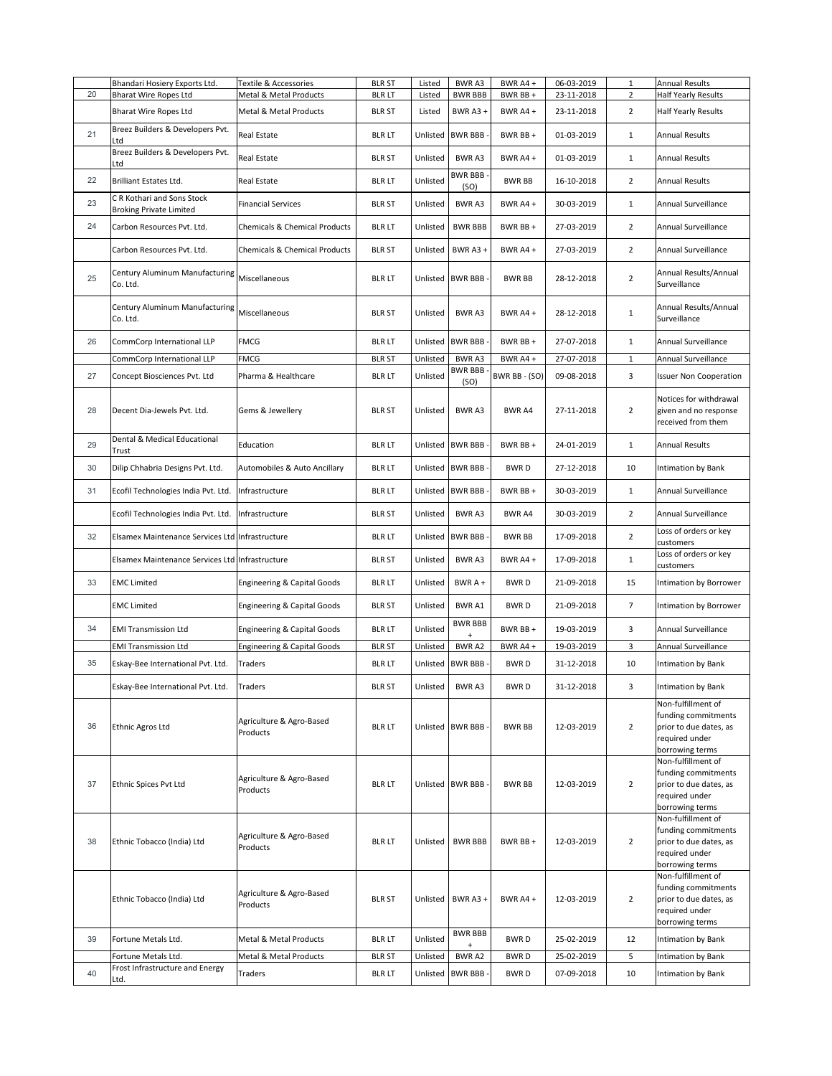|    | Bhandari Hosiery Exports Ltd.                                | Textile & Accessories                    | <b>BLR ST</b> | Listed   | BWR A3                      | BWR A4+       | 06-03-2019 | $\mathbf{1}$   | <b>Annual Results</b>                                                                                    |
|----|--------------------------------------------------------------|------------------------------------------|---------------|----------|-----------------------------|---------------|------------|----------------|----------------------------------------------------------------------------------------------------------|
| 20 | <b>Bharat Wire Ropes Ltd</b>                                 | Metal & Metal Products                   | <b>BLR LT</b> | Listed   | <b>BWR BBB</b>              | BWR BB +      | 23-11-2018 | $\overline{2}$ | Half Yearly Results                                                                                      |
|    | <b>Bharat Wire Ropes Ltd</b>                                 | Metal & Metal Products                   | <b>BLR ST</b> | Listed   | BWR A3+                     | BWR A4+       | 23-11-2018 | $\overline{2}$ | Half Yearly Results                                                                                      |
| 21 | Breez Builders & Developers Pvt.<br>Ltd                      | Real Estate                              | <b>BLR LT</b> | Unlisted | <b>BWR BBB</b>              | BWR BB+       | 01-03-2019 | $\mathbf{1}$   | <b>Annual Results</b>                                                                                    |
|    | Breez Builders & Developers Pvt.<br>Ltd                      | Real Estate                              | <b>BLR ST</b> | Unlisted | BWR A3                      | BWR A4 +      | 01-03-2019 | 1              | Annual Results                                                                                           |
| 22 | <b>Brilliant Estates Ltd.</b>                                | Real Estate                              | <b>BLR LT</b> | Unlisted | <b>BWR BBB</b><br>(SO)      | <b>BWR BB</b> | 16-10-2018 | $\overline{2}$ | <b>Annual Results</b>                                                                                    |
| 23 | C R Kothari and Sons Stock<br><b>Broking Private Limited</b> | <b>Financial Services</b>                | <b>BLR ST</b> | Unlisted | BWR A3                      | BWR A4+       | 30-03-2019 | $\mathbf{1}$   | Annual Surveillance                                                                                      |
| 24 | Carbon Resources Pvt. Ltd.                                   | Chemicals & Chemical Products            | <b>BLR LT</b> | Unlisted | <b>BWR BBB</b>              | BWR BB +      | 27-03-2019 | $\overline{2}$ | Annual Surveillance                                                                                      |
|    | Carbon Resources Pvt. Ltd.                                   | <b>Chemicals &amp; Chemical Products</b> | <b>BLR ST</b> | Unlisted | BWR A3+                     | BWR A4+       | 27-03-2019 | $\overline{2}$ | Annual Surveillance                                                                                      |
| 25 | Century Aluminum Manufacturing<br>Co. Ltd.                   | Miscellaneous                            | <b>BLR LT</b> |          | Unlisted BWR BBB            | <b>BWR BB</b> | 28-12-2018 | $\overline{2}$ | Annual Results/Annual<br>Surveillance                                                                    |
|    | Century Aluminum Manufacturing<br>Co. Ltd.                   | Miscellaneous                            | <b>BLR ST</b> | Unlisted | BWR A3                      | BWR A4 +      | 28-12-2018 | $1\,$          | Annual Results/Annual<br>Surveillance                                                                    |
| 26 | CommCorp International LLP                                   | <b>FMCG</b>                              | <b>BLR LT</b> |          | Unlisted BWR BBB            | BWR BB +      | 27-07-2018 | $1\,$          | Annual Surveillance                                                                                      |
|    | CommCorp International LLP                                   | <b>FMCG</b>                              | <b>BLR ST</b> | Unlisted | BWR A3                      | BWR A4 +      | 27-07-2018 | $\mathbf 1$    | Annual Surveillance                                                                                      |
| 27 | Concept Biosciences Pvt. Ltd                                 | Pharma & Healthcare                      | <b>BLR LT</b> | Unlisted | <b>BWR BBB</b><br>(SO)      | BWR BB - (SO) | 09-08-2018 | 3              | <b>Issuer Non Cooperation</b>                                                                            |
| 28 | Decent Dia-Jewels Pvt. Ltd.                                  | Gems & Jewellery                         | <b>BLR ST</b> | Unlisted | BWR A3                      | <b>BWRA4</b>  | 27-11-2018 | $\overline{2}$ | Notices for withdrawal<br>given and no response<br>received from them                                    |
| 29 | Dental & Medical Educational<br>Trust                        | Education                                | <b>BLR LT</b> |          | Unlisted BWR BBB            | BWR BB +      | 24-01-2019 | $\mathbf{1}$   | <b>Annual Results</b>                                                                                    |
| 30 | Dilip Chhabria Designs Pvt. Ltd.                             | Automobiles & Auto Ancillary             | <b>BLR LT</b> | Unlisted | <b>BWR BBB</b>              | <b>BWRD</b>   | 27-12-2018 | 10             | Intimation by Bank                                                                                       |
| 31 | Ecofil Technologies India Pvt. Ltd.                          | Infrastructure                           | <b>BLR LT</b> |          | Unlisted BWR BBB            | BWR BB +      | 30-03-2019 | $\mathbf{1}$   | Annual Surveillance                                                                                      |
|    | Ecofil Technologies India Pvt. Ltd.                          | Infrastructure                           | <b>BLR ST</b> | Unlisted | BWR A3                      | BWR A4        | 30-03-2019 | $\overline{2}$ | Annual Surveillance                                                                                      |
| 32 | Elsamex Maintenance Services Ltd Infrastructure              |                                          | <b>BLR LT</b> |          | Unlisted BWR BBB            | <b>BWR BB</b> | 17-09-2018 | $\overline{2}$ | Loss of orders or key<br>customers                                                                       |
|    | Elsamex Maintenance Services Ltd Infrastructure              |                                          | <b>BLR ST</b> | Unlisted | <b>BWRA3</b>                | BWR A4+       | 17-09-2018 | $\mathbf{1}$   | Loss of orders or key<br>customers                                                                       |
| 33 | <b>EMC Limited</b>                                           | Engineering & Capital Goods              | <b>BLR LT</b> | Unlisted | BWR A +                     | <b>BWRD</b>   | 21-09-2018 | 15             | Intimation by Borrower                                                                                   |
|    | <b>EMC Limited</b>                                           | <b>Engineering &amp; Capital Goods</b>   | <b>BLR ST</b> | Unlisted | BWR A1                      | <b>BWRD</b>   | 21-09-2018 | $\overline{7}$ | Intimation by Borrower                                                                                   |
| 34 | <b>EMI Transmission Ltd</b>                                  | <b>Engineering &amp; Capital Goods</b>   | <b>BLR LT</b> | Unlisted | <b>BWR BBB</b>              | BWR BB+       | 19-03-2019 | 3              | Annual Surveillance                                                                                      |
|    | <b>EMI Transmission Ltd</b>                                  | <b>Engineering &amp; Capital Goods</b>   | <b>BLR ST</b> | Unlisted | BWR A2                      | BWR A4+       | 19-03-2019 | 3              | Annual Surveillance                                                                                      |
| 35 | Eskay-Bee International Pvt. Ltd.                            | Traders                                  | <b>BLR LT</b> | Unlisted | <b>BWR BBB</b>              | <b>BWRD</b>   | 31-12-2018 | 10             | Intimation by Bank                                                                                       |
|    | Eskay-Bee International Pvt. Ltd.                            | Traders                                  | <b>BLR ST</b> | Unlisted | BWR A3                      | BWR D         | 31-12-2018 | 3              | Intimation by Bank<br>Non-fulfillment of                                                                 |
| 36 | Ethnic Agros Ltd                                             | Agriculture & Agro-Based<br>Products     | <b>BLR LT</b> |          | Unlisted BWR BBB            | <b>BWR BB</b> | 12-03-2019 | $\overline{2}$ | funding commitments<br>prior to due dates, as<br>required under<br>borrowing terms                       |
| 37 | Ethnic Spices Pvt Ltd                                        | Agriculture & Agro-Based<br>Products     | <b>BLR LT</b> |          | Unlisted BWR BBB            | <b>BWR BB</b> | 12-03-2019 | $\overline{2}$ | Non-fulfillment of<br>funding commitments<br>prior to due dates, as<br>required under<br>borrowing terms |
| 38 | Ethnic Tobacco (India) Ltd                                   | Agriculture & Agro-Based<br>Products     | <b>BLR LT</b> | Unlisted | <b>BWR BBB</b>              | BWR BB +      | 12-03-2019 | $\overline{2}$ | Non-fulfillment of<br>funding commitments<br>prior to due dates, as<br>required under<br>borrowing terms |
|    | Ethnic Tobacco (India) Ltd                                   | Agriculture & Agro-Based<br>Products     | <b>BLR ST</b> |          | Unlisted BWR A3 +           | BWR A4 +      | 12-03-2019 | $\overline{2}$ | Non-fulfillment of<br>funding commitments<br>prior to due dates, as<br>required under<br>borrowing terms |
| 39 | Fortune Metals Ltd.                                          | Metal & Metal Products                   | <b>BLR LT</b> | Unlisted | <b>BWR BBB</b><br>$\ddot{}$ | <b>BWRD</b>   | 25-02-2019 | 12             | Intimation by Bank                                                                                       |
|    | Fortune Metals Ltd.                                          | Metal & Metal Products                   | <b>BLR ST</b> | Unlisted | BWR A2                      | <b>BWRD</b>   | 25-02-2019 | 5              | Intimation by Bank                                                                                       |
| 40 | Frost Infrastructure and Energy<br>Ltd.                      | Traders                                  | <b>BLR LT</b> |          | Unlisted BWR BBB            | <b>BWRD</b>   | 07-09-2018 | 10             | Intimation by Bank                                                                                       |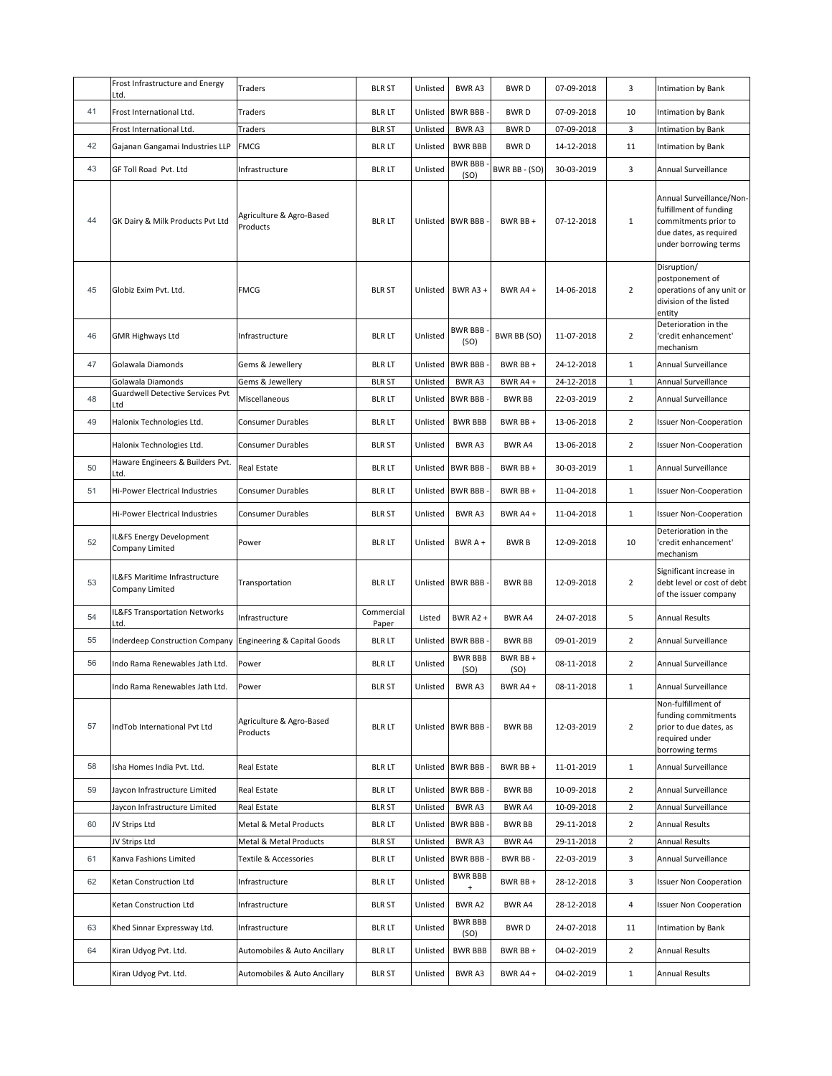|    | Frost Infrastructure and Energy<br>Ltd.                      | Traders                              | <b>BLR ST</b>       | Unlisted | BWR A3                           | <b>BWRD</b>     | 07-09-2018 | 3              | Intimation by Bank                                                                                                            |
|----|--------------------------------------------------------------|--------------------------------------|---------------------|----------|----------------------------------|-----------------|------------|----------------|-------------------------------------------------------------------------------------------------------------------------------|
| 41 | Frost International Ltd.                                     | Traders                              | <b>BLR LT</b>       | Unlisted | <b>BWR BBB</b>                   | <b>BWRD</b>     | 07-09-2018 | 10             | Intimation by Bank                                                                                                            |
|    | Frost International Ltd.                                     | Traders                              | <b>BLR ST</b>       | Unlisted | BWR A3                           | <b>BWRD</b>     | 07-09-2018 | 3              | Intimation by Bank                                                                                                            |
| 42 | Gajanan Gangamai Industries LLP                              | <b>FMCG</b>                          | <b>BLR LT</b>       | Unlisted | <b>BWR BBB</b>                   | <b>BWRD</b>     | 14-12-2018 | 11             | Intimation by Bank                                                                                                            |
| 43 | GF Toll Road Pvt. Ltd                                        | Infrastructure                       | <b>BLR LT</b>       | Unlisted | <b>BWR BBB</b>                   | BWR BB - (SO)   | 30-03-2019 | 3              | Annual Surveillance                                                                                                           |
| 44 | GK Dairy & Milk Products Pvt Ltd                             | Agriculture & Agro-Based<br>Products | <b>BLR LT</b>       |          | (SO)<br>Unlisted BWR BBB         | BWR BB +        | 07-12-2018 | $\mathbf{1}$   | Annual Surveillance/Non-<br>fulfillment of funding<br>commitments prior to<br>due dates, as required<br>under borrowing terms |
| 45 | Globiz Exim Pvt. Ltd.                                        | <b>FMCG</b>                          | <b>BLR ST</b>       |          | Unlisted BWR A3 +                | BWR A4+         | 14-06-2018 | 2              | Disruption/<br>postponement of<br>operations of any unit or<br>division of the listed<br>entity                               |
| 46 | <b>GMR Highways Ltd</b>                                      | Infrastructure                       | <b>BLR LT</b>       | Unlisted | <b>BWR BBB</b><br>(SO)           | BWR BB (SO)     | 11-07-2018 | $\overline{2}$ | Deterioration in the<br>'credit enhancement'<br>mechanism                                                                     |
| 47 | Golawala Diamonds                                            | Gems & Jewellery                     | <b>BLR LT</b>       |          | Unlisted BWR BBB                 | BWR BB +        | 24-12-2018 | $\mathbf{1}$   | Annual Surveillance                                                                                                           |
|    | Golawala Diamonds<br><b>Guardwell Detective Services Pvt</b> | Gems & Jewellery                     | <b>BLR ST</b>       | Unlisted | BWR A3                           | BWR A4 +        | 24-12-2018 | $\mathbf{1}$   | Annual Surveillance                                                                                                           |
| 48 | Ltd                                                          | Miscellaneous                        | <b>BLR LT</b>       | Unlisted | <b>BWR BBB</b>                   | <b>BWR BB</b>   | 22-03-2019 | $\overline{2}$ | Annual Surveillance                                                                                                           |
| 49 | Halonix Technologies Ltd.                                    | <b>Consumer Durables</b>             | <b>BLR LT</b>       | Unlisted | <b>BWR BBB</b>                   | BWR BB +        | 13-06-2018 | $\overline{2}$ | <b>Issuer Non-Cooperation</b>                                                                                                 |
|    | Halonix Technologies Ltd.                                    | <b>Consumer Durables</b>             | <b>BLR ST</b>       | Unlisted | BWR A3                           | BWR A4          | 13-06-2018 | $\overline{2}$ | <b>Issuer Non-Cooperation</b>                                                                                                 |
| 50 | Haware Engineers & Builders Pvt.<br>Ltd.                     | Real Estate                          | <b>BLR LT</b>       | Unlisted | <b>BWR BBB</b>                   | BWR BB +        | 30-03-2019 | $\mathbf{1}$   | Annual Surveillance                                                                                                           |
| 51 | Hi-Power Electrical Industries                               | Consumer Durables                    | <b>BLR LT</b>       |          | Unlisted BWR BBB                 | BWR BB +        | 11-04-2018 | $\mathbf{1}$   | <b>Issuer Non-Cooperation</b>                                                                                                 |
|    | Hi-Power Electrical Industries                               | <b>Consumer Durables</b>             | <b>BLR ST</b>       | Unlisted | BWR A3                           | BWR A4 +        | 11-04-2018 | $\mathbf{1}$   | <b>Issuer Non-Cooperation</b>                                                                                                 |
| 52 | IL&FS Energy Development<br>Company Limited                  | Power                                | <b>BLR LT</b>       | Unlisted | $BWRA +$                         | <b>BWRB</b>     | 12-09-2018 | 10             | Deterioration in the<br>credit enhancement'<br>mechanism                                                                      |
| 53 | IL&FS Maritime Infrastructure<br>Company Limited             | Transportation                       | <b>BLR LT</b>       |          | Unlisted BWR BBB                 | <b>BWR BB</b>   | 12-09-2018 | $\overline{2}$ | Significant increase in<br>debt level or cost of debt<br>of the issuer company                                                |
| 54 | IL&FS Transportation Networks<br>.td.                        | Infrastructure                       | Commercial<br>Paper | Listed   | <b>BWR A2 +</b>                  | <b>BWRA4</b>    | 24-07-2018 | 5              | <b>Annual Results</b>                                                                                                         |
| 55 | <b>Inderdeep Construction Company</b>                        | Engineering & Capital Goods          | <b>BLR LT</b>       | Unlisted | <b>BWR BBB</b>                   | <b>BWR BB</b>   | 09-01-2019 | $\overline{2}$ | Annual Surveillance                                                                                                           |
| 56 | Indo Rama Renewables Jath Ltd.                               | Power                                | <b>BLR LT</b>       | Unlisted | <b>BWR BBB</b><br>(SO)           | BWR BB+<br>(SO) | 08-11-2018 | $\overline{2}$ | Annual Surveillance                                                                                                           |
|    | Indo Rama Renewables Jath Ltd.                               | Power                                | BLR ST              | Unlisted | BWR A3                           | BWR A4 +        | 08-11-2018 | 1              | Annual Surveillance                                                                                                           |
| 57 | IndTob International Pvt Ltd                                 | Agriculture & Agro-Based<br>Products | <b>BLR LT</b>       |          | Unlisted BWR BBB                 | <b>BWR BB</b>   | 12-03-2019 | $\overline{2}$ | Non-fulfillment of<br>funding commitments<br>prior to due dates, as<br>required under<br>borrowing terms                      |
| 58 | Isha Homes India Pvt. Ltd.                                   | Real Estate                          | <b>BLR LT</b>       |          | Unlisted BWR BBB                 | BWR BB +        | 11-01-2019 | $\mathbf{1}$   | Annual Surveillance                                                                                                           |
| 59 | Jaycon Infrastructure Limited                                | Real Estate                          | <b>BLR LT</b>       |          | Unlisted BWR BBB                 | <b>BWR BB</b>   | 10-09-2018 | $\overline{2}$ | Annual Surveillance                                                                                                           |
|    | Jaycon Infrastructure Limited                                | Real Estate                          | <b>BLR ST</b>       | Unlisted | BWR A3                           | BWR A4          | 10-09-2018 | $\overline{2}$ | Annual Surveillance                                                                                                           |
| 60 | JV Strips Ltd                                                | Metal & Metal Products               | <b>BLR LT</b>       |          | Unlisted BWR BBB                 | <b>BWR BB</b>   | 29-11-2018 | $\overline{2}$ | <b>Annual Results</b>                                                                                                         |
|    | JV Strips Ltd                                                | Metal & Metal Products               | <b>BLR ST</b>       | Unlisted | BWR A3                           | BWR A4          | 29-11-2018 | $\overline{2}$ | Annual Results                                                                                                                |
| 61 | Kanva Fashions Limited                                       | Textile & Accessories                | <b>BLR LT</b>       | Unlisted | <b>BWR BBB</b><br><b>BWR BBB</b> | BWR BB-         | 22-03-2019 | 3              | Annual Surveillance                                                                                                           |
| 62 | Ketan Construction Ltd                                       | Infrastructure                       | <b>BLR LT</b>       | Unlisted |                                  | BWR BB+         | 28-12-2018 | 3              | <b>Issuer Non Cooperation</b>                                                                                                 |
|    | Ketan Construction Ltd                                       | Infrastructure                       | <b>BLR ST</b>       | Unlisted | BWR A2<br><b>BWR BBB</b>         | BWR A4          | 28-12-2018 | 4              | <b>Issuer Non Cooperation</b>                                                                                                 |
| 63 | Khed Sinnar Expressway Ltd.                                  | Infrastructure                       | <b>BLR LT</b>       | Unlisted | (SO)                             | <b>BWRD</b>     | 24-07-2018 | 11             | Intimation by Bank                                                                                                            |
| 64 | Kiran Udyog Pvt. Ltd.                                        | Automobiles & Auto Ancillary         | <b>BLR LT</b>       | Unlisted | <b>BWR BBB</b>                   | BWR BB +        | 04-02-2019 | $\overline{2}$ | <b>Annual Results</b>                                                                                                         |
|    | Kiran Udyog Pvt. Ltd.                                        | Automobiles & Auto Ancillary         | <b>BLR ST</b>       | Unlisted | BWR A3                           | BWR A4 +        | 04-02-2019 | $\mathbf{1}$   | Annual Results                                                                                                                |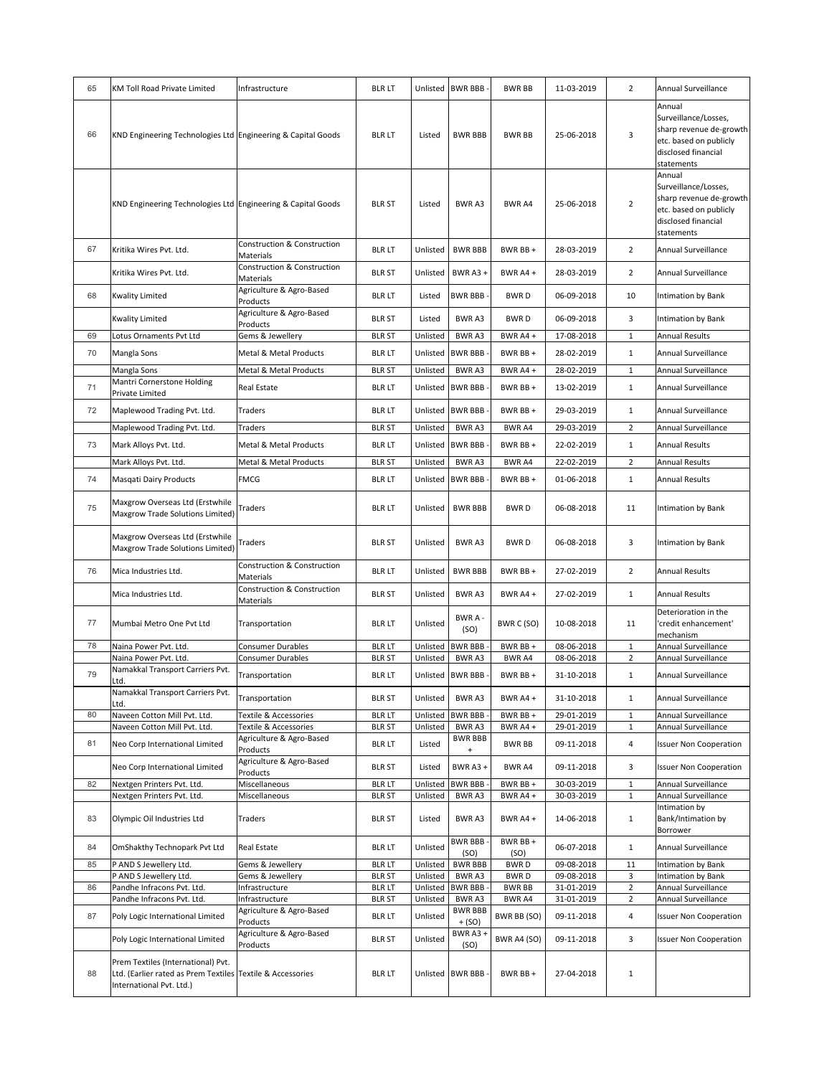| 65 | KM Toll Road Private Limited                                                                                                 | Infrastructure                                      | <b>BLR LT</b>                  | Unlisted             | <b>BWR BBB</b>              | <b>BWR BB</b>                | 11-03-2019               | $\overline{2}$             | Annual Surveillance                                                                                                      |
|----|------------------------------------------------------------------------------------------------------------------------------|-----------------------------------------------------|--------------------------------|----------------------|-----------------------------|------------------------------|--------------------------|----------------------------|--------------------------------------------------------------------------------------------------------------------------|
| 66 | KND Engineering Technologies Ltd Engineering & Capital Goods                                                                 |                                                     | <b>BLR LT</b>                  | Listed               | <b>BWR BBB</b>              | <b>BWR BB</b>                | 25-06-2018               | 3                          | Annual<br>Surveillance/Losses,<br>sharp revenue de-growth<br>etc. based on publicly<br>disclosed financial<br>statements |
|    | KND Engineering Technologies Ltd Engineering & Capital Goods                                                                 |                                                     | <b>BLR ST</b>                  | Listed               | BWR A3                      | <b>BWR A4</b>                | 25-06-2018               | $\overline{2}$             | Annual<br>Surveillance/Losses,<br>sharp revenue de-growth<br>etc. based on publicly<br>disclosed financial<br>statements |
| 67 | Kritika Wires Pvt. Ltd.                                                                                                      | <b>Construction &amp; Construction</b><br>Materials | <b>BLR LT</b>                  | Unlisted             | <b>BWR BBB</b>              | BWR BB+                      | 28-03-2019               | $\overline{2}$             | Annual Surveillance                                                                                                      |
|    | Kritika Wires Pvt. Ltd.                                                                                                      | Construction & Construction<br>Materials            | <b>BLR ST</b>                  | Unlisted             | BWR A3+                     | BWR A4 +                     | 28-03-2019               | $\overline{2}$             | Annual Surveillance                                                                                                      |
| 68 | <b>Kwality Limited</b>                                                                                                       | Agriculture & Agro-Based<br>Products                | <b>BLR LT</b>                  | Listed               | <b>BWR BBB</b>              | <b>BWRD</b>                  | 06-09-2018               | 10                         | Intimation by Bank                                                                                                       |
|    | <b>Kwality Limited</b>                                                                                                       | Agriculture & Agro-Based<br>Products                | <b>BLR ST</b>                  | Listed               | BWR A3                      | <b>BWRD</b>                  | 06-09-2018               | 3                          | Intimation by Bank                                                                                                       |
| 69 | Lotus Ornaments Pvt Ltd                                                                                                      | Gems & Jewellery                                    | <b>BLR ST</b>                  | Unlisted             | <b>BWRA3</b>                | BWR A4+                      | 17-08-2018               | $\mathbf 1$                | <b>Annual Results</b>                                                                                                    |
| 70 | Mangla Sons                                                                                                                  | Metal & Metal Products                              | <b>BLR LT</b>                  | Unlisted             | <b>BWR BBB</b>              | BWR BB +                     | 28-02-2019               | $\mathbf{1}$               | Annual Surveillance                                                                                                      |
|    | Mangla Sons                                                                                                                  | Metal & Metal Products                              | <b>BLR ST</b>                  | Unlisted             | BWR A3                      | BWR A4+                      | 28-02-2019               | $\mathbf{1}$               | Annual Surveillance                                                                                                      |
| 71 | Mantri Cornerstone Holding                                                                                                   | Real Estate                                         | <b>BLR LT</b>                  | Unlisted             | <b>BWR BBB</b>              | BWR BB +                     | 13-02-2019               | $\mathbf{1}$               | Annual Surveillance                                                                                                      |
|    | Private Limited                                                                                                              |                                                     |                                |                      |                             |                              |                          |                            |                                                                                                                          |
| 72 | Maplewood Trading Pvt. Ltd.                                                                                                  | Traders                                             | <b>BLR LT</b>                  | Unlisted             | <b>BWR BBB</b>              | BWR BB +                     | 29-03-2019               | $\mathbf{1}$               | Annual Surveillance                                                                                                      |
|    | Maplewood Trading Pvt. Ltd.                                                                                                  | Traders                                             | <b>BLR ST</b>                  | Unlisted             | <b>BWRA3</b>                | <b>BWR A4</b>                | 29-03-2019               | $\overline{2}$             | Annual Surveillance                                                                                                      |
| 73 | Mark Alloys Pvt. Ltd.                                                                                                        | Metal & Metal Products                              | <b>BLR LT</b>                  | Unlisted             | <b>BWR BBB</b>              | BWR BB+                      | 22-02-2019               | $\mathbf{1}$               | Annual Results                                                                                                           |
|    | Mark Alloys Pvt. Ltd.                                                                                                        | Metal & Metal Products                              | <b>BLR ST</b>                  | Unlisted             | BWR A3                      | BWR A4                       | 22-02-2019               | $\overline{2}$             | <b>Annual Results</b>                                                                                                    |
| 74 | Masqati Dairy Products                                                                                                       | <b>FMCG</b>                                         | <b>BLR LT</b>                  | Unlisted             | <b>BWR BBB</b>              | BWR BB+                      | 01-06-2018               | $\mathbf{1}$               | <b>Annual Results</b>                                                                                                    |
| 75 | Maxgrow Overseas Ltd (Erstwhile<br>Maxgrow Trade Solutions Limited)                                                          | Traders                                             | <b>BLR LT</b>                  | Unlisted             | <b>BWR BBB</b>              | <b>BWRD</b>                  | 06-08-2018               | 11                         | Intimation by Bank                                                                                                       |
|    | Maxgrow Overseas Ltd (Erstwhile<br>Maxgrow Trade Solutions Limited)                                                          | Traders                                             | <b>BLR ST</b>                  | Unlisted             | BWR A3                      | <b>BWRD</b>                  | 06-08-2018               | 3                          | Intimation by Bank                                                                                                       |
| 76 | Mica Industries Ltd.                                                                                                         | Construction & Construction<br>Materials            | <b>BLR LT</b>                  | Unlisted             | <b>BWR BBB</b>              | BWR BB +                     | 27-02-2019               | $\overline{2}$             | <b>Annual Results</b>                                                                                                    |
|    | Mica Industries Ltd.                                                                                                         | Construction & Construction<br>Materials            | <b>BLR ST</b>                  | Unlisted             | <b>BWRA3</b>                | BWR A4+                      | 27-02-2019               | $\mathbf{1}$               | <b>Annual Results</b>                                                                                                    |
| 77 | Mumbai Metro One Pvt Ltd                                                                                                     | Transportation                                      | <b>BLR LT</b>                  | Unlisted             | BWR A-<br>(SO)              | BWR C (SO)                   | 10-08-2018               | 11                         | Deterioration in the<br>credit enhancement'<br>mechanism                                                                 |
| 78 | Naina Power Pvt. Ltd.                                                                                                        | Consumer Durables                                   | <b>BLR LT</b>                  | Unlisted             | <b>BWR BBB</b>              | BWR BB +                     | 08-06-2018               | $\mathbf{1}$               | Annual Surveillance                                                                                                      |
|    | Naina Power Pyt. Ltd.<br>Namakkal Transport Carriers Pvt.                                                                    | Consumer Durables                                   | BLR ST                         | Unlisted             | BWR A3                      | BWR A4                       | 08-06-2018               | $\mathbf 2$                | Annual Surveillance                                                                                                      |
| 79 | Ltd.                                                                                                                         | Transportation                                      | <b>BLR LT</b>                  | Unlisted             | <b>BWR BBB</b>              | BWR BB+                      | 31-10-2018               | $\mathbf{1}$               | Annual Surveillance                                                                                                      |
|    | Namakkal Transport Carriers Pvt.<br>Ltd.                                                                                     | Transportation                                      | <b>BLR ST</b>                  | Unlisted             | BWR A3                      | BWR A4+                      | 31-10-2018               | $1\,$                      | Annual Surveillance                                                                                                      |
| 80 | Naveen Cotton Mill Pvt. Ltd.<br>Naveen Cotton Mill Pvt. Ltd.                                                                 | Textile & Accessories<br>Textile & Accessories      | <b>BLR LT</b><br><b>BLR ST</b> | Unlisted<br>Unlisted | <b>BWR BBB</b><br>BWR A3    | BWR BB +<br>BWR A4+          | 29-01-2019<br>29-01-2019 | $\mathbf 1$<br>$\mathbf 1$ | Annual Surveillance<br>Annual Surveillance                                                                               |
| 81 | Neo Corp International Limited                                                                                               | Agriculture & Agro-Based<br>Products                | <b>BLR LT</b>                  | Listed               | <b>BWR BBB</b><br>$\ddot{}$ | <b>BWR BB</b>                | 09-11-2018               | 4                          | <b>Issuer Non Cooperation</b>                                                                                            |
|    | Neo Corp International Limited                                                                                               | Agriculture & Agro-Based<br>Products                | <b>BLR ST</b>                  | Listed               | BWR A3+                     | BWR A4                       | 09-11-2018               | 3                          | <b>Issuer Non Cooperation</b>                                                                                            |
| 82 | Nextgen Printers Pvt. Ltd.                                                                                                   | Miscellaneous                                       | <b>BLR LT</b>                  | Unlisted             | <b>BWR BBB</b>              | BWR BB+                      | 30-03-2019               | $\mathbf 1$                | Annual Surveillance                                                                                                      |
|    | Nextgen Printers Pvt. Ltd.                                                                                                   | Miscellaneous                                       | <b>BLR ST</b>                  | Unlisted             | BWR A3                      | BWR A4+                      | 30-03-2019               | $\mathbf 1$                | Annual Surveillance                                                                                                      |
| 83 | Olympic Oil Industries Ltd                                                                                                   | Traders                                             | <b>BLR ST</b>                  | Listed               | <b>BWRA3</b>                | BWR A4+                      | 14-06-2018               | $\mathbf{1}$               | Intimation by<br>Bank/Intimation by<br>Borrower                                                                          |
| 84 | OmShakthy Technopark Pvt Ltd                                                                                                 | Real Estate                                         | <b>BLR LT</b>                  | Unlisted             | <b>BWR BBB</b><br>(SO)      | BWR BB+<br>(SO)              | 06-07-2018               | $\mathbf{1}$               | Annual Surveillance                                                                                                      |
| 85 | P AND S Jewellery Ltd.                                                                                                       | Gems & Jewellery                                    | <b>BLR LT</b>                  | Unlisted             | <b>BWR BBB</b>              | <b>BWRD</b>                  | 09-08-2018               | 11                         | Intimation by Bank                                                                                                       |
| 86 | P AND S Jewellery Ltd.<br>Pandhe Infracons Pvt. Ltd.                                                                         | Gems & Jewellery<br>Infrastructure                  | <b>BLR ST</b><br><b>BLR LT</b> | Unlisted<br>Unlisted | BWR A3<br><b>BWR BBB</b>    | <b>BWRD</b><br><b>BWR BB</b> | 09-08-2018<br>31-01-2019 | 3<br>$\overline{2}$        | Intimation by Bank<br>Annual Surveillance                                                                                |
|    | Pandhe Infracons Pvt. Ltd.                                                                                                   | Infrastructure                                      | <b>BLR ST</b>                  | Unlisted             | BWR A3                      | BWR A4                       | 31-01-2019               | 2                          | Annual Surveillance                                                                                                      |
| 87 | Poly Logic International Limited                                                                                             | Agriculture & Agro-Based<br>Products                | <b>BLR LT</b>                  | Unlisted             | <b>BWR BBB</b><br>$+(SO)$   | BWR BB (SO)                  | 09-11-2018               | 4                          | <b>Issuer Non Cooperation</b>                                                                                            |
|    | Poly Logic International Limited                                                                                             | Agriculture & Agro-Based<br>Products                | <b>BLR ST</b>                  | Unlisted             | BWR A3+<br>(SO)             | <b>BWR A4 (SO)</b>           | 09-11-2018               | 3                          | <b>Issuer Non Cooperation</b>                                                                                            |
| 88 | Prem Textiles (International) Pvt.<br>Ltd. (Earlier rated as Prem Textiles Textile & Accessories<br>International Pvt. Ltd.) |                                                     | <b>BLR LT</b>                  |                      | Unlisted BWR BBB            | BWR BB +                     | 27-04-2018               | $\mathbf{1}$               |                                                                                                                          |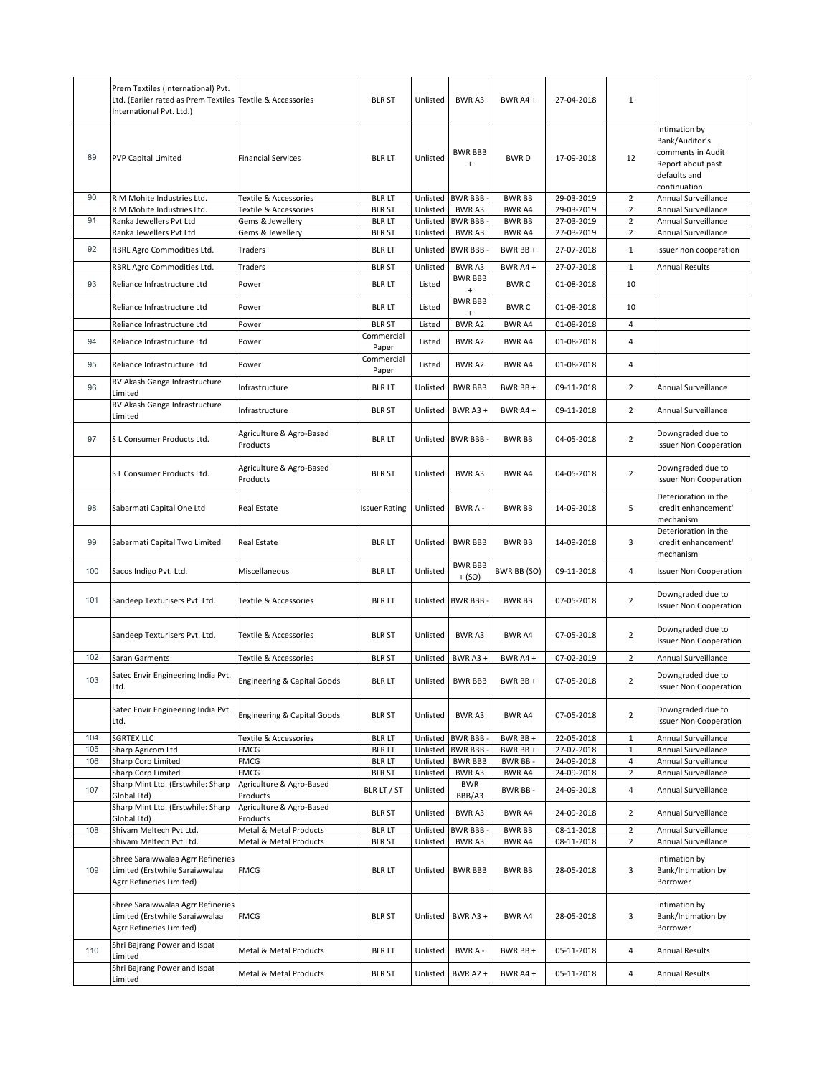|            | Prem Textiles (International) Pvt.<br>Ltd. (Earlier rated as Prem Textiles Textile & Accessories<br>International Pvt. Ltd.) |                                        | <b>BLR ST</b>                  | Unlisted             | <b>BWRA3</b>                     | BWR A4+                 | 27-04-2018               | $\mathbf{1}$        |                                                                                                           |
|------------|------------------------------------------------------------------------------------------------------------------------------|----------------------------------------|--------------------------------|----------------------|----------------------------------|-------------------------|--------------------------|---------------------|-----------------------------------------------------------------------------------------------------------|
| 89         | <b>PVP Capital Limited</b>                                                                                                   | <b>Financial Services</b>              | <b>BLR LT</b>                  | Unlisted             | <b>BWR BBB</b><br>$\ddot{}$      | <b>BWRD</b>             | 17-09-2018               | 12                  | Intimation by<br>Bank/Auditor's<br>comments in Audit<br>Report about past<br>defaults and<br>continuation |
| 90         | R M Mohite Industries Ltd.                                                                                                   | Textile & Accessories                  | <b>BLR LT</b>                  | Unlisted             | <b>BWR BBB</b>                   | <b>BWR BB</b>           | 29-03-2019               | $\overline{2}$      | Annual Surveillance                                                                                       |
|            | R M Mohite Industries Ltd.                                                                                                   | Textile & Accessories                  | <b>BLR ST</b>                  | Unlisted             | BWR A3                           | <b>BWR A4</b>           | 29-03-2019               | 2                   | Annual Surveillance                                                                                       |
| 91         | Ranka Jewellers Pvt Ltd<br>Ranka Jewellers Pvt Ltd                                                                           | Gems & Jewellery<br>Gems & Jewellery   | <b>BLR LT</b><br><b>BLR ST</b> | Unlisted<br>Unlisted | <b>BWR BBB</b><br>BWR A3         | <b>BWR BB</b><br>BWR A4 | 27-03-2019<br>27-03-2019 | $\overline{2}$<br>2 | Annual Surveillance<br>Annual Surveillance                                                                |
|            |                                                                                                                              |                                        |                                |                      |                                  |                         |                          |                     |                                                                                                           |
| 92         | RBRL Agro Commodities Ltd.                                                                                                   | Traders                                | <b>BLR LT</b>                  | Unlisted             | <b>BWR BBB</b>                   | BWR BB +                | 27-07-2018               | $\mathbf{1}$        | issuer non cooperation                                                                                    |
|            | RBRL Agro Commodities Ltd.                                                                                                   | Traders                                | <b>BLR ST</b>                  | Unlisted             | BWR A3                           | BWR A4+                 | 27-07-2018               | $\mathbf{1}$        | <b>Annual Results</b>                                                                                     |
| 93         | Reliance Infrastructure Ltd                                                                                                  | Power                                  | <b>BLR LT</b>                  | Listed               | <b>BWR BBB</b><br>$\ddot{}$      | <b>BWRC</b>             | 01-08-2018               | 10                  |                                                                                                           |
|            | Reliance Infrastructure Ltd                                                                                                  | Power                                  | <b>BLR LT</b>                  | Listed               | <b>BWR BBB</b><br>$\ddot{}$      | <b>BWRC</b>             | 01-08-2018               | 10                  |                                                                                                           |
|            | Reliance Infrastructure Ltd                                                                                                  | Power                                  | <b>BLR ST</b>                  | Listed               | BWR A2                           | BWR A4                  | 01-08-2018               | 4                   |                                                                                                           |
| 94         | Reliance Infrastructure Ltd                                                                                                  | Power                                  | Commercial<br>Paper            | Listed               | BWR A2                           | BWR A4                  | 01-08-2018               | $\overline{4}$      |                                                                                                           |
| 95         | Reliance Infrastructure Ltd                                                                                                  | Power                                  | Commercial                     | Listed               | BWR A2                           | BWR A4                  | 01-08-2018               | 4                   |                                                                                                           |
|            | RV Akash Ganga Infrastructure                                                                                                |                                        | Paper                          |                      |                                  |                         |                          |                     |                                                                                                           |
| 96         | Limited                                                                                                                      | Infrastructure                         | <b>BLR LT</b>                  | Unlisted             | <b>BWR BBB</b>                   | BWR BB +                | 09-11-2018               | $\overline{2}$      | Annual Surveillance                                                                                       |
|            | RV Akash Ganga Infrastructure<br>Limited                                                                                     | Infrastructure                         | <b>BLR ST</b>                  | Unlisted             | BWR A3+                          | BWR A4+                 | 09-11-2018               | $\overline{2}$      | Annual Surveillance                                                                                       |
| 97         | S L Consumer Products Ltd.                                                                                                   | Agriculture & Agro-Based<br>Products   | <b>BLR LT</b>                  |                      | Unlisted BWR BBB                 | <b>BWR BB</b>           | 04-05-2018               | $\overline{2}$      | Downgraded due to<br><b>Issuer Non Cooperation</b>                                                        |
|            | S L Consumer Products Ltd.                                                                                                   | Agriculture & Agro-Based<br>Products   | <b>BLR ST</b>                  | Unlisted             | BWR A3                           | BWR A4                  | 04-05-2018               | $\overline{2}$      | Downgraded due to<br><b>Issuer Non Cooperation</b>                                                        |
| 98         | Sabarmati Capital One Ltd                                                                                                    | Real Estate                            | <b>Issuer Rating</b>           | Unlisted             | BWR A-                           | <b>BWR BB</b>           | 14-09-2018               | 5                   | Deterioration in the<br>credit enhancement'<br>mechanism                                                  |
| 99         | Sabarmati Capital Two Limited                                                                                                | Real Estate                            | <b>BLR LT</b>                  | Unlisted             | <b>BWR BBB</b>                   | <b>BWR BB</b>           | 14-09-2018               | 3                   | Deterioration in the<br>credit enhancement'<br>mechanism                                                  |
| 100        | Sacos Indigo Pvt. Ltd.                                                                                                       | Miscellaneous                          | <b>BLR LT</b>                  | Unlisted             | <b>BWR BBB</b><br>$+(SO)$        | BWR BB (SO)             | 09-11-2018               | 4                   | <b>Issuer Non Cooperation</b>                                                                             |
| 101        | Sandeep Texturisers Pvt. Ltd.                                                                                                | <b>Textile &amp; Accessories</b>       | <b>BLR LT</b>                  |                      | Unlisted BWR BBB                 | <b>BWR BB</b>           | 07-05-2018               | $\overline{2}$      | Downgraded due to<br><b>Issuer Non Cooperation</b>                                                        |
|            | Sandeep Texturisers Pvt. Ltd.                                                                                                | Textile & Accessories                  | <b>BLR ST</b>                  | Unlisted             | BWR A3                           | BWR A4                  | 07-05-2018               | $\overline{2}$      | Downgraded due to<br><b>Issuer Non Cooperation</b>                                                        |
| 102        | Saran Garments                                                                                                               | Textile & Accessories                  | <b>BLR ST</b>                  | Unlisted             | BWR A3+                          | BWR A4+                 | 07-02-2019               | 2                   | Annual Surveillance                                                                                       |
| 103        | Satec Envir Engineering India Pvt.<br>Ltd.                                                                                   | Engineering & Capital Goods            | <b>BLR LT</b>                  |                      | Unlisted   BWR BBB               | BWR BB +                | 07-05-2018               | $\overline{2}$      | Downgraded due to<br><b>Issuer Non Cooperation</b>                                                        |
|            | Satec Envir Engineering India Pvt.<br>Ltd.                                                                                   | <b>Engineering &amp; Capital Goods</b> | <b>BLR ST</b>                  | Unlisted             | <b>BWRA3</b>                     | BWR A4                  | 07-05-2018               | $\overline{2}$      | Downgraded due to<br><b>Issuer Non Cooperation</b>                                                        |
| 104        | <b>SGRTEX LLC</b>                                                                                                            | Textile & Accessories                  | <b>BLR LT</b>                  | Unlisted             | <b>BWR BBB</b>                   | BWR BB+                 | 22-05-2018               | $\mathbf{1}$        | Annual Surveillance                                                                                       |
| 105<br>106 | Sharp Agricom Ltd<br>Sharp Corp Limited                                                                                      | FMCG<br>FMCG                           | <b>BLR LT</b><br><b>BLR LT</b> | Unlisted<br>Unlisted | <b>BWR BBB</b><br><b>BWR BBB</b> | BWR BB +<br>BWR BB-     | 27-07-2018               | $\mathbf{1}$<br>4   | Annual Surveillance<br>Annual Surveillance                                                                |
|            | Sharp Corp Limited                                                                                                           | FMCG                                   | <b>BLR ST</b>                  | Unlisted             | BWR A3                           | BWR A4                  | 24-09-2018<br>24-09-2018 | $\overline{2}$      | Annual Surveillance                                                                                       |
| 107        | Sharp Mint Ltd. (Erstwhile: Sharp<br>Global Ltd)                                                                             | Agriculture & Agro-Based<br>Products   | BLR LT / ST                    | Unlisted             | <b>BWR</b><br>BBB/A3             | BWR BB-                 | 24-09-2018               | 4                   | Annual Surveillance                                                                                       |
|            | Sharp Mint Ltd. (Erstwhile: Sharp                                                                                            | Agriculture & Agro-Based               | <b>BLR ST</b>                  | Unlisted             | BWR A3                           | BWR A4                  | 24-09-2018               | $\overline{2}$      | Annual Surveillance                                                                                       |
| 108        | Global Ltd)<br>Shivam Meltech Pvt Ltd.                                                                                       | Products<br>Metal & Metal Products     | <b>BLR LT</b>                  | Unlisted             | <b>BWR BBB</b>                   | <b>BWR BB</b>           | 08-11-2018               | $\overline{2}$      | Annual Surveillance                                                                                       |
|            | Shivam Meltech Pvt Ltd.                                                                                                      | Metal & Metal Products                 | <b>BLR ST</b>                  | Unlisted             | BWR A3                           | BWR A4                  | 08-11-2018               | 2                   | Annual Surveillance                                                                                       |
| 109        | Shree Saraiwwalaa Agrr Refineries<br>Limited (Erstwhile Saraiwwalaa<br>Agrr Refineries Limited)                              | FMCG                                   | <b>BLR LT</b>                  | Unlisted             | <b>BWR BBB</b>                   | BWR BB                  | 28-05-2018               | 3                   | Intimation by<br>Bank/Intimation by<br>Borrower                                                           |
|            | Shree Saraiwwalaa Agrr Refineries<br>Limited (Erstwhile Saraiwwalaa<br>Agrr Refineries Limited)                              | FMCG                                   | <b>BLR ST</b>                  |                      | Unlisted BWR A3 +                | BWR A4                  | 28-05-2018               | 3                   | Intimation by<br>Bank/Intimation by<br>Borrower                                                           |
| 110        | Shri Bajrang Power and Ispat<br>Limited                                                                                      | Metal & Metal Products                 | <b>BLR LT</b>                  | Unlisted             | BWR A -                          | BWR BB +                | 05-11-2018               | 4                   | <b>Annual Results</b>                                                                                     |
|            | Shri Bajrang Power and Ispat<br>Limited                                                                                      | Metal & Metal Products                 | <b>BLR ST</b>                  |                      | Unlisted BWR A2 +                | BWR A4+                 | 05-11-2018               | 4                   | <b>Annual Results</b>                                                                                     |